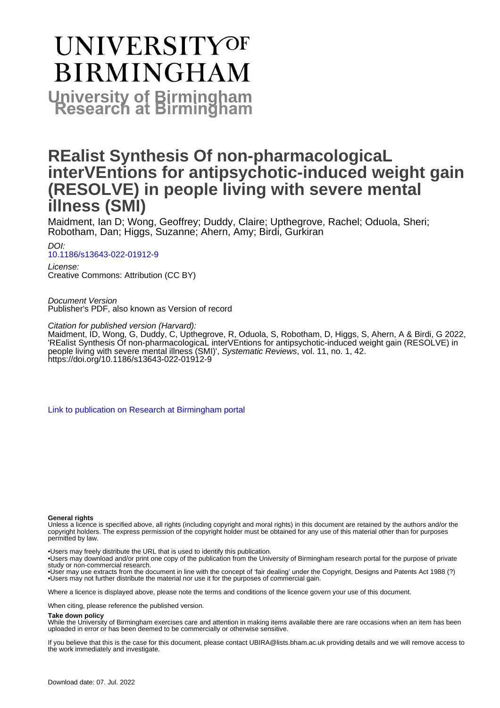# UNIVERSITYOF **BIRMINGHAM University of Birmingham**

# **REalist Synthesis Of non-pharmacologicaL interVEntions for antipsychotic-induced weight gain (RESOLVE) in people living with severe mental illness (SMI)**

Maidment, Ian D; Wong, Geoffrey; Duddy, Claire; Upthegrove, Rachel; Oduola, Sheri; Robotham, Dan; Higgs, Suzanne; Ahern, Amy; Birdi, Gurkiran

DOI: [10.1186/s13643-022-01912-9](https://doi.org/10.1186/s13643-022-01912-9)

License: Creative Commons: Attribution (CC BY)

Document Version Publisher's PDF, also known as Version of record

Citation for published version (Harvard):

Maidment, ID, Wong, G, Duddy, C, Upthegrove, R, Oduola, S, Robotham, D, Higgs, S, Ahern, A & Birdi, G 2022, 'REalist Synthesis Of non-pharmacologicaL interVEntions for antipsychotic-induced weight gain (RESOLVE) in people living with severe mental illness (SMI)', Systematic Reviews, vol. 11, no. 1, 42. <https://doi.org/10.1186/s13643-022-01912-9>

[Link to publication on Research at Birmingham portal](https://birmingham.elsevierpure.com/en/publications/033d216d-048f-4e61-8243-d639ffafd6b9)

# **General rights**

Unless a licence is specified above, all rights (including copyright and moral rights) in this document are retained by the authors and/or the copyright holders. The express permission of the copyright holder must be obtained for any use of this material other than for purposes permitted by law.

• Users may freely distribute the URL that is used to identify this publication.

• Users may download and/or print one copy of the publication from the University of Birmingham research portal for the purpose of private study or non-commercial research.

• User may use extracts from the document in line with the concept of 'fair dealing' under the Copyright, Designs and Patents Act 1988 (?) • Users may not further distribute the material nor use it for the purposes of commercial gain.

Where a licence is displayed above, please note the terms and conditions of the licence govern your use of this document.

When citing, please reference the published version.

### **Take down policy**

While the University of Birmingham exercises care and attention in making items available there are rare occasions when an item has been uploaded in error or has been deemed to be commercially or otherwise sensitive.

If you believe that this is the case for this document, please contact UBIRA@lists.bham.ac.uk providing details and we will remove access to the work immediately and investigate.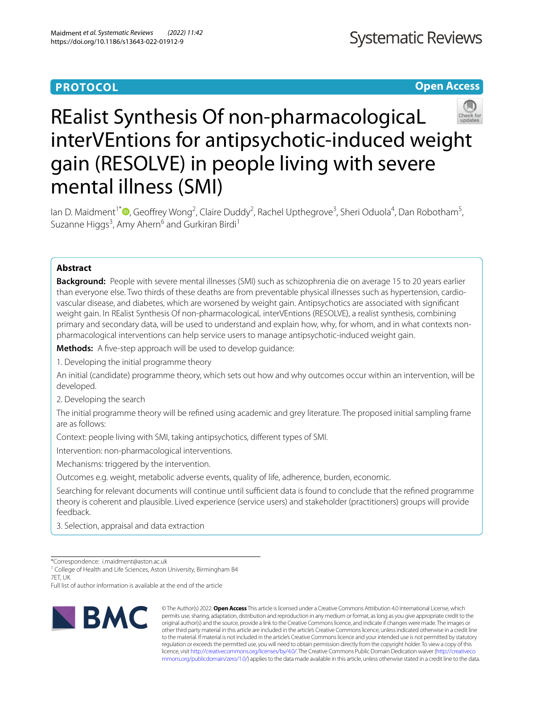# **PROTOCOL**

**Open Access**

# REalist Synthesis Of non-pharmacologicaL interVEntions for antipsychotic-induced weight gain (RESOLVE) in people living with severe mental illness (SMI)

lan D. Maidment<sup>1[\\*](http://orcid.org/0000-0003-4152-9704)</sup><sup>®</sup>, Geoffrey Wong<sup>2</sup>, Claire Duddy<sup>2</sup>, Rachel Upthegrove<sup>3</sup>, Sheri Oduola<sup>4</sup>, Dan Robotham<sup>5</sup>, Suzanne Higgs<sup>3</sup>, Amy Ahern<sup>6</sup> and Gurkiran Birdi<sup>1</sup>

# **Abstract**

**Background:** People with severe mental illnesses (SMI) such as schizophrenia die on average 15 to 20 years earlier than everyone else. Two thirds of these deaths are from preventable physical illnesses such as hypertension, cardiovascular disease, and diabetes, which are worsened by weight gain. Antipsychotics are associated with signifcant weight gain. In REalist Synthesis Of non-pharmacologicaL interVEntions (RESOLVE), a realist synthesis, combining primary and secondary data, will be used to understand and explain how, why, for whom, and in what contexts nonpharmacological interventions can help service users to manage antipsychotic-induced weight gain.

**Methods:** A five-step approach will be used to develop quidance:

1. Developing the initial programme theory

An initial (candidate) programme theory, which sets out how and why outcomes occur within an intervention, will be developed.

2. Developing the search

The initial programme theory will be refned using academic and grey literature. The proposed initial sampling frame are as follows:

Context: people living with SMI, taking antipsychotics, diferent types of SMI.

Intervention: non-pharmacological interventions.

Mechanisms: triggered by the intervention.

Outcomes e.g. weight, metabolic adverse events, quality of life, adherence, burden, economic.

Searching for relevant documents will continue until sufficient data is found to conclude that the refined programme theory is coherent and plausible. Lived experience (service users) and stakeholder (practitioners) groups will provide feedback.

3. Selection, appraisal and data extraction

\*Correspondence: i.maidment@aston.ac.uk

<sup>1</sup> College of Health and Life Sciences, Aston University, Birmingham B4 7ET, UK

Full list of author information is available at the end of the article



© The Author(s) 2022. **Open Access** This article is licensed under a Creative Commons Attribution 4.0 International License, which permits use, sharing, adaptation, distribution and reproduction in any medium or format, as long as you give appropriate credit to the original author(s) and the source, provide a link to the Creative Commons licence, and indicate if changes were made. The images or other third party material in this article are included in the article's Creative Commons licence, unless indicated otherwise in a credit line to the material. If material is not included in the article's Creative Commons licence and your intended use is not permitted by statutory regulation or exceeds the permitted use, you will need to obtain permission directly from the copyright holder. To view a copy of this licence, visit [http://creativecommons.org/licenses/by/4.0/.](http://creativecommons.org/licenses/by/4.0/) The Creative Commons Public Domain Dedication waiver ([http://creativeco](http://creativecommons.org/publicdomain/zero/1.0/) [mmons.org/publicdomain/zero/1.0/](http://creativecommons.org/publicdomain/zero/1.0/)) applies to the data made available in this article, unless otherwise stated in a credit line to the data.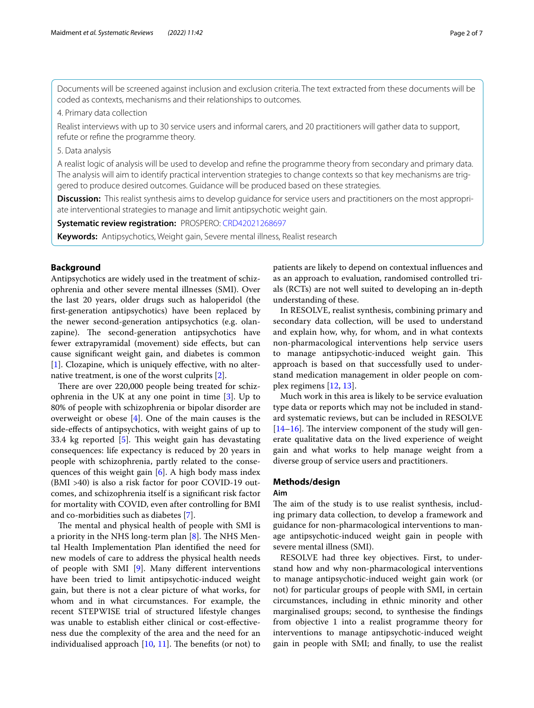Documents will be screened against inclusion and exclusion criteria. The text extracted from these documents will be coded as contexts, mechanisms and their relationships to outcomes.

4. Primary data collection

Realist interviews with up to 30 service users and informal carers, and 20 practitioners will gather data to support, refute or refne the programme theory.

# 5. Data analysis

A realist logic of analysis will be used to develop and refne the programme theory from secondary and primary data. The analysis will aim to identify practical intervention strategies to change contexts so that key mechanisms are triggered to produce desired outcomes. Guidance will be produced based on these strategies.

**Discussion:** This realist synthesis aims to develop guidance for service users and practitioners on the most appropriate interventional strategies to manage and limit antipsychotic weight gain.

**Systematic review registration:** PROSPERO: [CRD42021268697](https://www.crd.york.ac.uk/prospero/display_record.php?RecordID=268697)

**Keywords:** Antipsychotics, Weight gain, Severe mental illness, Realist research

# **Background**

Antipsychotics are widely used in the treatment of schizophrenia and other severe mental illnesses (SMI). Over the last 20 years, older drugs such as haloperidol (the frst-generation antipsychotics) have been replaced by the newer second-generation antipsychotics (e.g. olanzapine). The second-generation antipsychotics have fewer extrapyramidal (movement) side efects, but can cause signifcant weight gain, and diabetes is common [[1\]](#page-6-0). Clozapine, which is uniquely efective, with no alternative treatment, is one of the worst culprits [[2\]](#page-6-1).

There are over 220,000 people being treated for schizophrenia in the UK at any one point in time [\[3](#page-6-2)]. Up to 80% of people with schizophrenia or bipolar disorder are overweight or obese [[4\]](#page-6-3). One of the main causes is the side-efects of antipsychotics, with weight gains of up to 33.4 kg reported  $[5]$  $[5]$ . This weight gain has devastating consequences: life expectancy is reduced by 20 years in people with schizophrenia, partly related to the consequences of this weight gain [\[6](#page-6-5)]. A high body mass index (BMI >40) is also a risk factor for poor COVID-19 outcomes, and schizophrenia itself is a signifcant risk factor for mortality with COVID, even after controlling for BMI and co-morbidities such as diabetes [[7\]](#page-6-6).

The mental and physical health of people with SMI is a priority in the NHS long-term plan  $[8]$  $[8]$ . The NHS Mental Health Implementation Plan identifed the need for new models of care to address the physical health needs of people with SMI [[9\]](#page-6-8). Many diferent interventions have been tried to limit antipsychotic-induced weight gain, but there is not a clear picture of what works, for whom and in what circumstances. For example, the recent STEPWISE trial of structured lifestyle changes was unable to establish either clinical or cost-efectiveness due the complexity of the area and the need for an individualised approach  $[10, 11]$  $[10, 11]$  $[10, 11]$ . The benefits (or not) to patients are likely to depend on contextual infuences and as an approach to evaluation, randomised controlled trials (RCTs) are not well suited to developing an in-depth understanding of these.

In RESOLVE, realist synthesis, combining primary and secondary data collection, will be used to understand and explain how, why, for whom, and in what contexts non-pharmacological interventions help service users to manage antipsychotic-induced weight gain. This approach is based on that successfully used to understand medication management in older people on complex regimens [[12,](#page-6-11) [13](#page-6-12)].

Much work in this area is likely to be service evaluation type data or reports which may not be included in standard systematic reviews, but can be included in RESOLVE  $[14–16]$  $[14–16]$  $[14–16]$ . The interview component of the study will generate qualitative data on the lived experience of weight gain and what works to help manage weight from a diverse group of service users and practitioners.

# **Methods/design**

# **Aim**

The aim of the study is to use realist synthesis, including primary data collection, to develop a framework and guidance for non-pharmacological interventions to manage antipsychotic-induced weight gain in people with severe mental illness (SMI).

RESOLVE had three key objectives. First, to understand how and why non-pharmacological interventions to manage antipsychotic-induced weight gain work (or not) for particular groups of people with SMI, in certain circumstances, including in ethnic minority and other marginalised groups; second, to synthesise the fndings from objective 1 into a realist programme theory for interventions to manage antipsychotic-induced weight gain in people with SMI; and fnally, to use the realist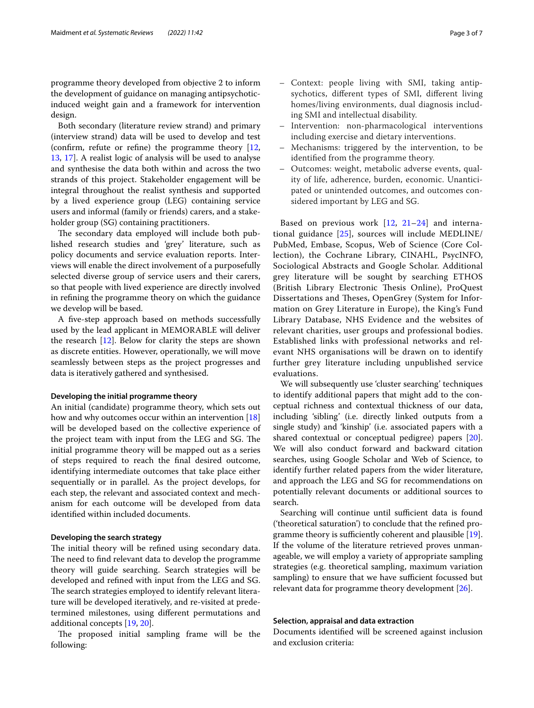programme theory developed from objective 2 to inform the development of guidance on managing antipsychoticinduced weight gain and a framework for intervention design.

Both secondary (literature review strand) and primary (interview strand) data will be used to develop and test (confrm, refute or refne) the programme theory [\[12](#page-6-11), [13,](#page-6-12) [17\]](#page-7-1). A realist logic of analysis will be used to analyse and synthesise the data both within and across the two strands of this project. Stakeholder engagement will be integral throughout the realist synthesis and supported by a lived experience group (LEG) containing service users and informal (family or friends) carers, and a stakeholder group (SG) containing practitioners.

The secondary data employed will include both published research studies and 'grey' literature, such as policy documents and service evaluation reports. Interviews will enable the direct involvement of a purposefully selected diverse group of service users and their carers, so that people with lived experience are directly involved in refning the programme theory on which the guidance we develop will be based.

A fve-step approach based on methods successfully used by the lead applicant in MEMORABLE will deliver the research  $[12]$  $[12]$  $[12]$ . Below for clarity the steps are shown as discrete entities. However, operationally, we will move seamlessly between steps as the project progresses and data is iteratively gathered and synthesised.

### **Developing the initial programme theory**

An initial (candidate) programme theory, which sets out how and why outcomes occur within an intervention [[18](#page-7-2)] will be developed based on the collective experience of the project team with input from the LEG and SG. The initial programme theory will be mapped out as a series of steps required to reach the fnal desired outcome, identifying intermediate outcomes that take place either sequentially or in parallel. As the project develops, for each step, the relevant and associated context and mechanism for each outcome will be developed from data identifed within included documents.

## **Developing the search strategy**

The initial theory will be refined using secondary data. The need to find relevant data to develop the programme theory will guide searching. Search strategies will be developed and refned with input from the LEG and SG. The search strategies employed to identify relevant literature will be developed iteratively, and re-visited at predetermined milestones, using diferent permutations and additional concepts [[19,](#page-7-3) [20](#page-7-4)].

The proposed initial sampling frame will be the following:

- Context: people living with SMI, taking antipsychotics, diferent types of SMI, diferent living homes/living environments, dual diagnosis including SMI and intellectual disability.
- Intervention: non-pharmacological interventions including exercise and dietary interventions.
- Mechanisms: triggered by the intervention, to be identifed from the programme theory.
- Outcomes: weight, metabolic adverse events, quality of life, adherence, burden, economic. Unanticipated or unintended outcomes, and outcomes considered important by LEG and SG.

Based on previous work [[12](#page-6-11), [21–](#page-7-5)[24](#page-7-6)] and international guidance [[25](#page-7-7)], sources will include MEDLINE/ PubMed, Embase, Scopus, Web of Science (Core Collection), the Cochrane Library, CINAHL, PsycINFO, Sociological Abstracts and Google Scholar. Additional grey literature will be sought by searching ETHOS (British Library Electronic Thesis Online), ProQuest Dissertations and Theses, OpenGrey (System for Information on Grey Literature in Europe), the King's Fund Library Database, NHS Evidence and the websites of relevant charities, user groups and professional bodies. Established links with professional networks and relevant NHS organisations will be drawn on to identify further grey literature including unpublished service evaluations.

We will subsequently use 'cluster searching' techniques to identify additional papers that might add to the conceptual richness and contextual thickness of our data, including 'sibling' (i.e. directly linked outputs from a single study) and 'kinship' (i.e. associated papers with a shared contextual or conceptual pedigree) papers [\[20](#page-7-4)]. We will also conduct forward and backward citation searches, using Google Scholar and Web of Science, to identify further related papers from the wider literature, and approach the LEG and SG for recommendations on potentially relevant documents or additional sources to search.

Searching will continue until sufficient data is found ('theoretical saturation') to conclude that the refned programme theory is sufficiently coherent and plausible  $[19]$  $[19]$ . If the volume of the literature retrieved proves unmanageable, we will employ a variety of appropriate sampling strategies (e.g. theoretical sampling, maximum variation sampling) to ensure that we have sufficient focussed but relevant data for programme theory development [\[26\]](#page-7-8).

# **Selection, appraisal and data extraction**

Documents identifed will be screened against inclusion and exclusion criteria: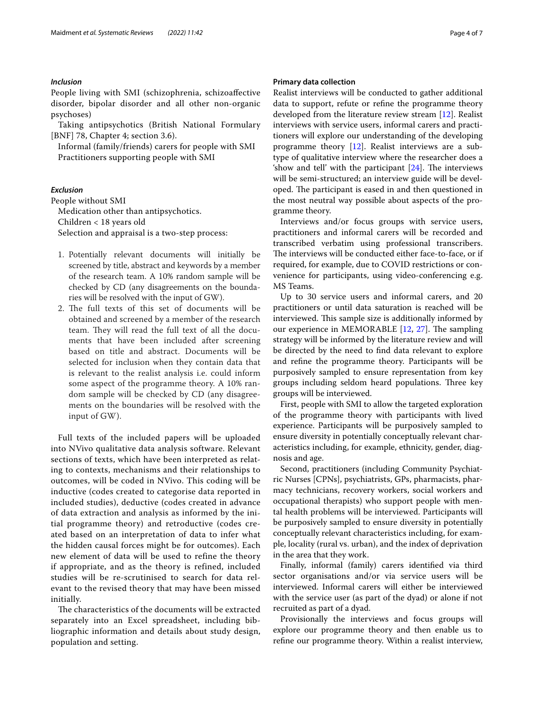# *Inclusion*

People living with SMI (schizophrenia, schizoafective disorder, bipolar disorder and all other non-organic psychoses)

Taking antipsychotics (British National Formulary [BNF] 78, Chapter 4; section 3.6).

Informal (family/friends) carers for people with SMI Practitioners supporting people with SMI

# *Exclusion*

People without SMI Medication other than antipsychotics. Children < 18 years old Selection and appraisal is a two-step process:

- 1. Potentially relevant documents will initially be screened by title, abstract and keywords by a member of the research team. A 10% random sample will be checked by CD (any disagreements on the boundaries will be resolved with the input of GW).
- 2. The full texts of this set of documents will be obtained and screened by a member of the research team. They will read the full text of all the documents that have been included after screening based on title and abstract. Documents will be selected for inclusion when they contain data that is relevant to the realist analysis i.e. could inform some aspect of the programme theory. A 10% random sample will be checked by CD (any disagreements on the boundaries will be resolved with the input of GW).

Full texts of the included papers will be uploaded into NVivo qualitative data analysis software. Relevant sections of texts, which have been interpreted as relating to contexts, mechanisms and their relationships to outcomes, will be coded in NVivo. This coding will be inductive (codes created to categorise data reported in included studies), deductive (codes created in advance of data extraction and analysis as informed by the initial programme theory) and retroductive (codes created based on an interpretation of data to infer what the hidden causal forces might be for outcomes). Each new element of data will be used to refine the theory if appropriate, and as the theory is refined, included studies will be re-scrutinised to search for data relevant to the revised theory that may have been missed initially.

The characteristics of the documents will be extracted separately into an Excel spreadsheet, including bibliographic information and details about study design, population and setting.

## **Primary data collection**

Realist interviews will be conducted to gather additional data to support, refute or refne the programme theory developed from the literature review stream [\[12\]](#page-6-11). Realist interviews with service users, informal carers and practitioners will explore our understanding of the developing programme theory [\[12\]](#page-6-11). Realist interviews are a subtype of qualitative interview where the researcher does a 'show and tell' with the participant  $[24]$  $[24]$ . The interviews will be semi-structured; an interview guide will be developed. The participant is eased in and then questioned in the most neutral way possible about aspects of the programme theory.

Interviews and/or focus groups with service users, practitioners and informal carers will be recorded and transcribed verbatim using professional transcribers. The interviews will be conducted either face-to-face, or if required, for example, due to COVID restrictions or convenience for participants, using video-conferencing e.g. MS Teams.

Up to 30 service users and informal carers, and 20 practitioners or until data saturation is reached will be interviewed. This sample size is additionally informed by our experience in MEMORABLE  $[12, 27]$  $[12, 27]$  $[12, 27]$  $[12, 27]$ . The sampling strategy will be informed by the literature review and will be directed by the need to fnd data relevant to explore and refne the programme theory. Participants will be purposively sampled to ensure representation from key groups including seldom heard populations. Three key groups will be interviewed.

First, people with SMI to allow the targeted exploration of the programme theory with participants with lived experience. Participants will be purposively sampled to ensure diversity in potentially conceptually relevant characteristics including, for example, ethnicity, gender, diagnosis and age.

Second, practitioners (including Community Psychiatric Nurses [CPNs], psychiatrists, GPs, pharmacists, pharmacy technicians, recovery workers, social workers and occupational therapists) who support people with mental health problems will be interviewed. Participants will be purposively sampled to ensure diversity in potentially conceptually relevant characteristics including, for example, locality (rural vs. urban), and the index of deprivation in the area that they work.

Finally, informal (family) carers identifed via third sector organisations and/or via service users will be interviewed. Informal carers will either be interviewed with the service user (as part of the dyad) or alone if not recruited as part of a dyad.

Provisionally the interviews and focus groups will explore our programme theory and then enable us to refne our programme theory. Within a realist interview,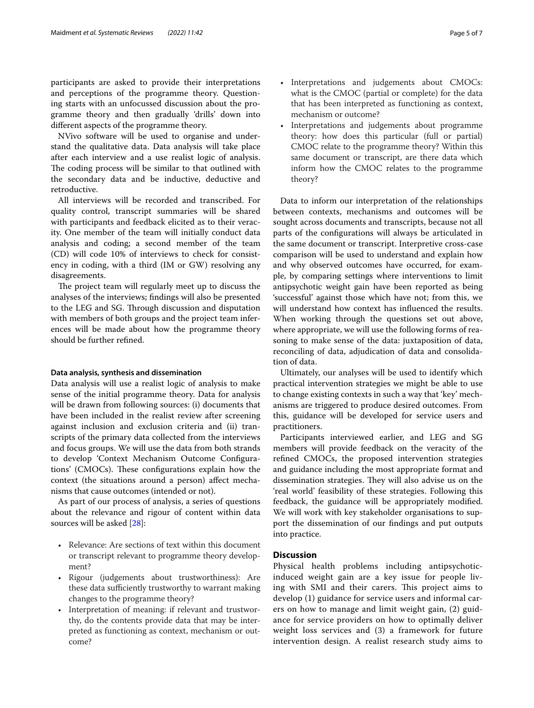participants are asked to provide their interpretations and perceptions of the programme theory. Questioning starts with an unfocussed discussion about the programme theory and then gradually 'drills' down into diferent aspects of the programme theory.

NVivo software will be used to organise and understand the qualitative data. Data analysis will take place after each interview and a use realist logic of analysis. The coding process will be similar to that outlined with the secondary data and be inductive, deductive and retroductive.

All interviews will be recorded and transcribed. For quality control, transcript summaries will be shared with participants and feedback elicited as to their veracity. One member of the team will initially conduct data analysis and coding; a second member of the team (CD) will code 10% of interviews to check for consistency in coding, with a third (IM or GW) resolving any disagreements.

The project team will regularly meet up to discuss the analyses of the interviews; fndings will also be presented to the LEG and SG. Through discussion and disputation with members of both groups and the project team inferences will be made about how the programme theory should be further refned.

### **Data analysis, synthesis and dissemination**

Data analysis will use a realist logic of analysis to make sense of the initial programme theory. Data for analysis will be drawn from following sources: (i) documents that have been included in the realist review after screening against inclusion and exclusion criteria and (ii) transcripts of the primary data collected from the interviews and focus groups. We will use the data from both strands to develop 'Context Mechanism Outcome Confgurations' (CMOCs). These configurations explain how the context (the situations around a person) afect mechanisms that cause outcomes (intended or not).

As part of our process of analysis, a series of questions about the relevance and rigour of content within data sources will be asked [\[28](#page-7-10)]:

- Relevance: Are sections of text within this document or transcript relevant to programme theory development?
- Rigour (judgements about trustworthiness): Are these data sufficiently trustworthy to warrant making changes to the programme theory?
- Interpretation of meaning: if relevant and trustworthy, do the contents provide data that may be interpreted as functioning as context, mechanism or outcome?
- Interpretations and judgements about CMOCs: what is the CMOC (partial or complete) for the data that has been interpreted as functioning as context, mechanism or outcome?
- Interpretations and judgements about programme theory: how does this particular (full or partial) CMOC relate to the programme theory? Within this same document or transcript, are there data which inform how the CMOC relates to the programme theory?

Data to inform our interpretation of the relationships between contexts, mechanisms and outcomes will be sought across documents and transcripts, because not all parts of the confgurations will always be articulated in the same document or transcript. Interpretive cross-case comparison will be used to understand and explain how and why observed outcomes have occurred, for example, by comparing settings where interventions to limit antipsychotic weight gain have been reported as being 'successful' against those which have not; from this, we will understand how context has infuenced the results. When working through the questions set out above, where appropriate, we will use the following forms of reasoning to make sense of the data: juxtaposition of data, reconciling of data, adjudication of data and consolidation of data.

Ultimately, our analyses will be used to identify which practical intervention strategies we might be able to use to change existing contexts in such a way that 'key' mechanisms are triggered to produce desired outcomes. From this, guidance will be developed for service users and practitioners.

Participants interviewed earlier, and LEG and SG members will provide feedback on the veracity of the refned CMOCs, the proposed intervention strategies and guidance including the most appropriate format and dissemination strategies. They will also advise us on the 'real world' feasibility of these strategies. Following this feedback, the guidance will be appropriately modifed. We will work with key stakeholder organisations to support the dissemination of our fndings and put outputs into practice.

# **Discussion**

Physical health problems including antipsychoticinduced weight gain are a key issue for people living with SMI and their carers. This project aims to develop (1) guidance for service users and informal carers on how to manage and limit weight gain, (2) guidance for service providers on how to optimally deliver weight loss services and (3) a framework for future intervention design. A realist research study aims to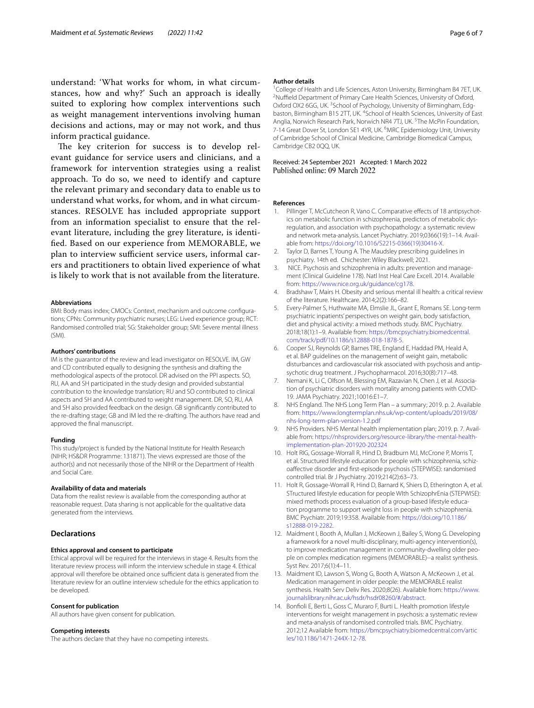understand: 'What works for whom, in what circumstances, how and why?' Such an approach is ideally suited to exploring how complex interventions such as weight management interventions involving human decisions and actions, may or may not work, and thus inform practical guidance.

The key criterion for success is to develop relevant guidance for service users and clinicians, and a framework for intervention strategies using a realist approach. To do so, we need to identify and capture the relevant primary and secondary data to enable us to understand what works, for whom, and in what circumstances. RESOLVE has included appropriate support from an information specialist to ensure that the relevant literature, including the grey literature, is identifed. Based on our experience from MEMORABLE, we plan to interview sufficient service users, informal carers and practitioners to obtain lived experience of what is likely to work that is not available from the literature.

#### **Abbreviations**

BMI: Body mass index; CMOCs: Context, mechanism and outcome confgurations; CPNs: Community psychiatric nurses; LEG: Lived experience group; RCT: Randomised controlled trial; SG: Stakeholder group; SMI: Severe mental illness (SMI).

#### **Authors' contributions**

IM is the guarantor of the review and lead investigator on RESOLVE. IM, GW and CD contributed equally to designing the synthesis and drafting the methodological aspects of the protocol. DR advised on the PPI aspects. SO, RU, AA and SH participated in the study design and provided substantial contribution to the knowledge translation; RU and SO contributed to clinical aspects and SH and AA contributed to weight management. DR, SO, RU, AA and SH also provided feedback on the design. GB signifcantly contributed to the re-drafting stage; GB and IM led the re-drafting. The authors have read and approved the fnal manuscript.

#### **Funding**

This study/project is funded by the National Institute for Health Research (NIHR; HS&DR Programme: 131871). The views expressed are those of the author(s) and not necessarily those of the NIHR or the Department of Health and Social Care.

#### **Availability of data and materials**

Data from the realist review is available from the corresponding author at reasonable request. Data sharing is not applicable for the qualitative data generated from the interviews.

# **Declarations**

## **Ethics approval and consent to participate**

Ethical approval will be required for the interviews in stage 4. Results from the literature review process will inform the interview schedule in stage 4. Ethical approval will therefore be obtained once sufficient data is generated from the literature review for an outline interview schedule for the ethics application to be developed.

#### **Consent for publication**

All authors have given consent for publication.

#### **Competing interests**

The authors declare that they have no competing interests.

#### **Author details**

<sup>1</sup>College of Health and Life Sciences, Aston University, Birmingham B4 7ET, UK.<br><sup>2</sup>Nuffield Department of Primary Care Health Sciences, University of Oxford <sup>2</sup>Nuffield Department of Primary Care Health Sciences, University of Oxford, Oxford OX2 6GG, UK.<sup>3</sup> School of Psychology, University of Birmingham, Edgbaston, Birmingham B15 2TT, UK. <sup>4</sup>School of Health Sciences, University of East Anglia, Norwich Research Park, Norwich NR4 7TJ, UK.<sup>5</sup>The McPin Foundation, 7-14 Great Dover St, London SE1 4YR, UK. <sup>6</sup>MRC Epidemiology Unit, University of Cambridge School of Clinical Medicine, Cambridge Biomedical Campus, Cambridge CB2 0QQ, UK.

# Received: 24 September 2021 Accepted: 1 March 2022<br>Published online: 09 March 2022

#### **References**

- <span id="page-6-0"></span>1. Pillinger T, McCutcheon R, Vano C. Comparative effects of 18 antipsychotics on metabolic function in schizophrenia, predictors of metabolic dysregulation, and association with psychopathology: a systematic review and network meta-analysis. Lancet Psychiatry. 2019;0366(19):1–14. Available from: [https://doi.org/10.1016/S2215-0366\(19\)30416-X.](https://doi.org/10.1016/S2215-0366(19)30416-X)
- <span id="page-6-1"></span>2. Taylor D, Barnes T, Young A. The Maudsley prescribing guidelines in psychiatry. 14th ed. Chichester: Wiley Blackwell; 2021.
- <span id="page-6-2"></span>3. NICE. Psychosis and schizophrenia in adults: prevention and management (Clinical Guideline 178). Natl Inst Heal Care Excell. 2014. Available from: [https://www.nice.org.uk/guidance/cg178.](https://www.nice.org.uk/guidance/cg178)
- <span id="page-6-3"></span>4. Bradshaw T, Mairs H. Obesity and serious mental ill health: a critical review of the literature. Healthcare. 2014;2(2):166–82.
- <span id="page-6-4"></span>5. Every-Palmer S, Huthwaite MA, Elmslie JL, Grant E, Romans SE. Long-term psychiatric inpatients' perspectives on weight gain, body satisfaction, diet and physical activity: a mixed methods study. BMC Psychiatry. 2018;18(1):1–9. Available from: [https://bmcpsychiatry.biomedcentral.](https://bmcpsychiatry.biomedcentral.com/track/pdf/10.1186/s12888-018-1878-5) [com/track/pdf/10.1186/s12888-018-1878-5.](https://bmcpsychiatry.biomedcentral.com/track/pdf/10.1186/s12888-018-1878-5)
- <span id="page-6-5"></span>6. Cooper SJ, Reynolds GP, Barnes TRE, England E, Haddad PM, Heald A, et al. BAP guidelines on the management of weight gain, metabolic disturbances and cardiovascular risk associated with psychosis and antipsychotic drug treatment. J Psychopharmacol. 2016;30(8):717–48.
- <span id="page-6-6"></span>7. Nemani K, Li C, Olfson M, Blessing EM, Razavian N, Chen J, et al. Association of psychiatric disorders with mortality among patients with COVID-19. JAMA Psychiatry. 2021;10016:E1–7.
- <span id="page-6-7"></span>8. NHS England. The NHS Long Term Plan – a summary; 2019. p. 2. Available from: [https://www.longtermplan.nhs.uk/wp-content/uploads/2019/08/](https://www.longtermplan.nhs.uk/wp-content/uploads/2019/08/nhs-long-term-plan-version-1.2.pdf) [nhs-long-term-plan-version-1.2.pdf](https://www.longtermplan.nhs.uk/wp-content/uploads/2019/08/nhs-long-term-plan-version-1.2.pdf)
- <span id="page-6-8"></span>9. NHS Providers. NHS Mental health implementation plan; 2019. p. 7. Available from: [https://nhsproviders.org/resource-library/the-mental-health](https://nhsproviders.org/resource-library/the-mental-health-implementation-plan-201920-202324)[implementation-plan-201920-202324](https://nhsproviders.org/resource-library/the-mental-health-implementation-plan-201920-202324)
- <span id="page-6-9"></span>10. Holt RIG, Gossage-Worrall R, Hind D, Bradburn MJ, McCrone P, Morris T, et al. Structured lifestyle education for people with schizophrenia, schizoafective disorder and frst-episode psychosis (STEPWISE): randomised controlled trial. Br J Psychiatry. 2019;214(2):63–73.
- <span id="page-6-10"></span>11. Holt R, Gossage-Worrall R, Hind D, Barnard K, Shiers D, Etherington A, et al. STructured lifestyle education for people WIth SchizophrEnia (STEPWISE): mixed methods process evaluation of a group-based lifestyle education programme to support weight loss in people with schizophrenia. BMC Psychiatr. 2019;19:358. Available from: [https://doi.org/10.1186/](https://doi.org/10.1186/s12888-019-2282) [s12888-019-2282.](https://doi.org/10.1186/s12888-019-2282)
- <span id="page-6-11"></span>12. Maidment I, Booth A, Mullan J, McKeown J, Bailey S, Wong G. Developing a framework for a novel multi-disciplinary, multi-agency intervention(s), to improve medication management in community-dwelling older people on complex medication regimens (MEMORABLE)--a realist synthesis. Syst Rev. 2017;6(1):4–11.
- <span id="page-6-12"></span>13. Maidment ID, Lawson S, Wong G, Booth A, Watson A, McKeown J, et al. Medication management in older people: the MEMORABLE realist synthesis. Health Serv Deliv Res. 2020;8(26). Available from: [https://www.](https://www.journalslibrary.nihr.ac.uk/hsdr/hsdr08260/#/abstract) [journalslibrary.nihr.ac.uk/hsdr/hsdr08260/#/abstract.](https://www.journalslibrary.nihr.ac.uk/hsdr/hsdr08260/#/abstract)
- <span id="page-6-13"></span>14. Bonfoli E, Berti L, Goss C, Muraro F, Burti L. Health promotion lifestyle interventions for weight management in psychosis: a systematic review and meta-analysis of randomised controlled trials. BMC Psychiatry. 2012;12 Available from: [https://bmcpsychiatry.biomedcentral.com/artic](https://bmcpsychiatry.biomedcentral.com/articles/10.1186/1471-244X-12-78) [les/10.1186/1471-244X-12-78](https://bmcpsychiatry.biomedcentral.com/articles/10.1186/1471-244X-12-78).